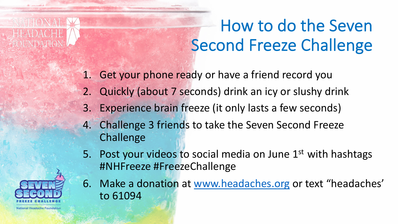## How to do the Seven Second Freeze Challenge

- 1. Get your phone ready or have a friend record you
- 2. Quickly (about 7 seconds) drink an icy or slushy drink
- 3. Experience brain freeze (it only lasts a few seconds)
- 4. Challenge 3 friends to take the Seven Second Freeze **Challenge**
- 5. Post your videos to social media on June 1<sup>st</sup> with hashtags #NHFreeze #FreezeChallenge
- 6. Make a donation at [www.headaches.org](http://www.headaches.org/) or text "headaches' to 61094



 $JUNDAHO$ 

National Headache Foundatio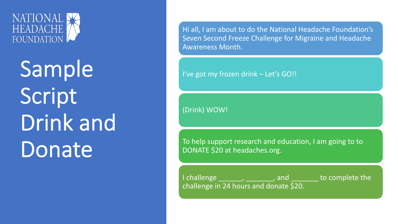

Sample Script Drink and Donate

Hi all, I am about to do the National Headache Foundation's Seven Second Freeze Challenge for Migraine and Headache Awareness Month.

I've got my frozen drink – Let's GO!!

(Drink) WOW!

To help support research and education, I am going to to DONATE \$20 at headaches.org.

I challenge \_\_\_\_\_\_, \_\_\_\_\_\_\_, and \_\_\_\_\_\_\_ to complete the challenge in 24 hours and donate \$20.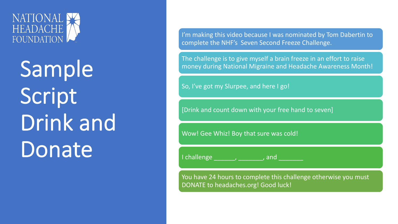

Sample Script Drink and Donate

I'm making this video because I was nominated by Tom Dabertin to complete the NHF's Seven Second Freeze Challenge.

The challenge is to give myself a brain freeze in an effort to raise money during National Migraine and Headache Awareness Month!

So, I've got my Slurpee, and here I go!

[Drink and count down with your free hand to seven]

Wow! Gee Whiz! Boy that sure was cold!

I challenge \_\_\_\_\_\_, \_\_\_\_\_\_\_, and \_\_\_

You have 24 hours to complete this challenge otherwise you must DONATE to headaches.org! Good luck!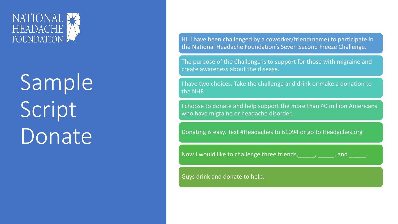## NATIONAL ><br>HEADACHE FOUNDATION

## Sample Script Donate

Hi. I have been challenged by a coworker/friend(name) to participate in the National Headache Foundation's Seven Second Freeze Challenge.

The purpose of the Challenge is to support for those with migraine and create awareness about the disease.

I have two choices. Take the challenge and drink or make a donation to the NHF.

I choose to donate and help support the more than 40 million Americans who have migraine or headache disorder.

Donating is easy. Text #Headaches to 61094 or go to Headaches.org

Now I would like to challenge three friends, and property and property  $\sim$ 

Guys drink and donate to help.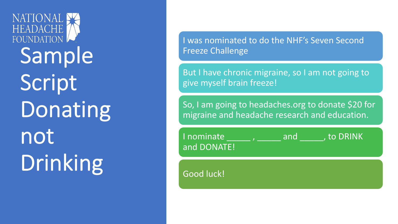**NATIONAL HEADACHE** FOUNDATION Sa mpl e Script Donating not Drin kin g

I was nominated to do the NHF's Seven Second Freeze Challenge

But I have chronic migraine, so I am not going to give myself brain freeze!

So, I am going to headaches.org to donate \$20 for migraine and headache research and education.

and DONATE!

I nominate the second term in the DRINK

Good luck!